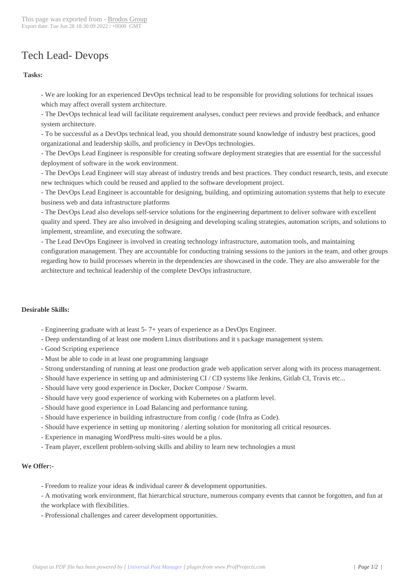## Tech Lead- Devop[s](https://www.brodos.com/group/?p=14850)

## **Tasks:**

 - We are looking for an experienced DevOps technical lead to be responsible for providing solutions for technical issues which may affect overall system architecture.

 - The DevOps technical lead will facilitate requirement analyses, conduct peer reviews and provide feedback, and enhance system architecture.

 - To be successful as a DevOps technical lead, you should demonstrate sound knowledge of industry best practices, good organizational and leadership skills, and proficiency in DevOps technologies.

 - The DevOps Lead Engineer is responsible for creating software deployment strategies that are essential for the successful deployment of software in the work environment.

 - The DevOps Lead Engineer will stay abreast of industry trends and best practices. They conduct research, tests, and execute new techniques which could be reused and applied to the software development project.

 - The DevOps Lead Engineer is accountable for designing, building, and optimizing automation systems that help to execute business web and data infrastructure platforms

 - The DevOps Lead also develops self-service solutions for the engineering department to deliver software with excellent quality and speed. They are also involved in designing and developing scaling strategies, automation scripts, and solutions to implement, streamline, and executing the software.

 - The Lead DevOps Engineer is involved in creating technology infrastructure, automation tools, and maintaining configuration management. They are accountable for conducting training sessions to the juniors in the team, and other groups regarding how to build processes wherein in the dependencies are showcased in the code. They are also answerable for the architecture and technical leadership of the complete DevOps infrastructure.

## **Desirable Skills:**

- Engineering graduate with at least 5- 7+ years of experience as a DevOps Engineer.
- Deep understanding of at least one modern Linux distributions and it s package management system.
- Good Scripting experience
- Must be able to code in at least one programming language
- Strong understanding of running at least one production grade web application server along with its process management.
- Should have experience in setting up and administering CI / CD systems like Jenkins, Gitlab CI, Travis etc...
- Should have very good experience in Docker, Docker Compose / Swarm.
- Should have very good experience of working with Kubernetes on a platform level.
- Should have good experience in Load Balancing and performance tuning.
- Should have experience in building infrastructure from config / code (Infra as Code).
- Should have experience in setting up monitoring / alerting solution for monitoring all critical resources.
- Experience in managing WordPress multi-sites would be a plus.
- Team player, excellent problem-solving skills and ability to learn new technologies a must

## **We Offer:-**

- Freedom to realize your ideas  $\&$  individual career  $\&$  development opportunities.

 - A motivating work environment, flat hierarchical structure, numerous company events that cannot be forgotten, and fun at the workplace with flexibilities.

 - Professional challenges and career development opportunities.